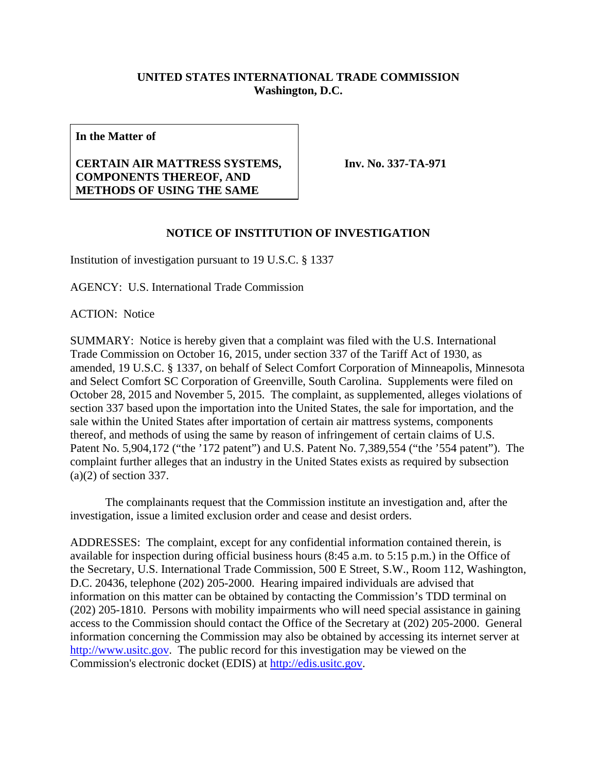## **UNITED STATES INTERNATIONAL TRADE COMMISSION Washington, D.C.**

**In the Matter of** 

## **CERTAIN AIR MATTRESS SYSTEMS, COMPONENTS THEREOF, AND METHODS OF USING THE SAME**

**Inv. No. 337-TA-971**

## **NOTICE OF INSTITUTION OF INVESTIGATION**

Institution of investigation pursuant to 19 U.S.C. § 1337

AGENCY: U.S. International Trade Commission

ACTION: Notice

SUMMARY: Notice is hereby given that a complaint was filed with the U.S. International Trade Commission on October 16, 2015, under section 337 of the Tariff Act of 1930, as amended, 19 U.S.C. § 1337, on behalf of Select Comfort Corporation of Minneapolis, Minnesota and Select Comfort SC Corporation of Greenville, South Carolina. Supplements were filed on October 28, 2015 and November 5, 2015. The complaint, as supplemented, alleges violations of section 337 based upon the importation into the United States, the sale for importation, and the sale within the United States after importation of certain air mattress systems, components thereof, and methods of using the same by reason of infringement of certain claims of U.S. Patent No. 5,904,172 ("the '172 patent") and U.S. Patent No. 7,389,554 ("the '554 patent"). The complaint further alleges that an industry in the United States exists as required by subsection (a)(2) of section 337.

 The complainants request that the Commission institute an investigation and, after the investigation, issue a limited exclusion order and cease and desist orders.

ADDRESSES: The complaint, except for any confidential information contained therein, is available for inspection during official business hours (8:45 a.m. to 5:15 p.m.) in the Office of the Secretary, U.S. International Trade Commission, 500 E Street, S.W., Room 112, Washington, D.C. 20436, telephone (202) 205-2000. Hearing impaired individuals are advised that information on this matter can be obtained by contacting the Commission's TDD terminal on (202) 205-1810. Persons with mobility impairments who will need special assistance in gaining access to the Commission should contact the Office of the Secretary at (202) 205-2000. General information concerning the Commission may also be obtained by accessing its internet server at http://www.usitc.gov. The public record for this investigation may be viewed on the Commission's electronic docket (EDIS) at http://edis.usitc.gov.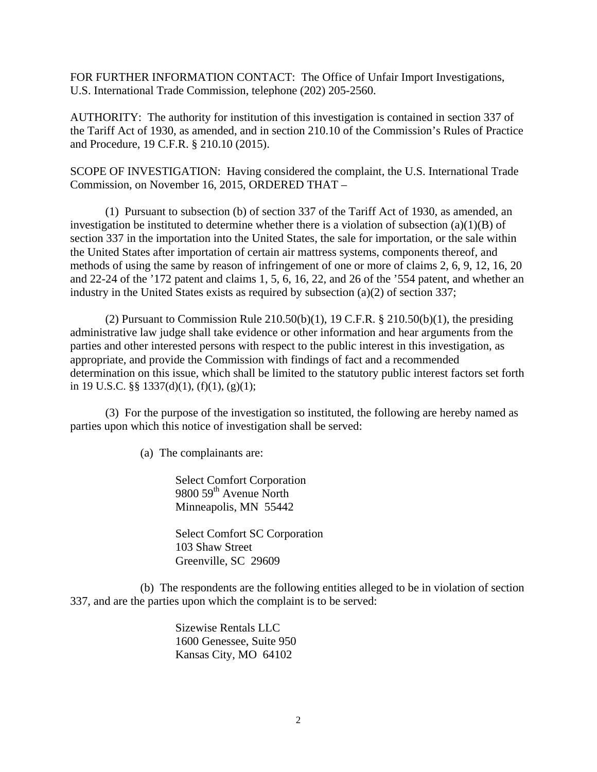FOR FURTHER INFORMATION CONTACT: The Office of Unfair Import Investigations, U.S. International Trade Commission, telephone (202) 205-2560.

AUTHORITY: The authority for institution of this investigation is contained in section 337 of the Tariff Act of 1930, as amended, and in section 210.10 of the Commission's Rules of Practice and Procedure, 19 C.F.R. § 210.10 (2015).

SCOPE OF INVESTIGATION: Having considered the complaint, the U.S. International Trade Commission, on November 16, 2015, ORDERED THAT –

 (1) Pursuant to subsection (b) of section 337 of the Tariff Act of 1930, as amended, an investigation be instituted to determine whether there is a violation of subsection  $(a)(1)(B)$  of section 337 in the importation into the United States, the sale for importation, or the sale within the United States after importation of certain air mattress systems, components thereof, and methods of using the same by reason of infringement of one or more of claims 2, 6, 9, 12, 16, 20 and 22-24 of the '172 patent and claims 1, 5, 6, 16, 22, and 26 of the '554 patent, and whether an industry in the United States exists as required by subsection (a)(2) of section 337;

(2) Pursuant to Commission Rule  $210.50(b)(1)$ , 19 C.F.R. §  $210.50(b)(1)$ , the presiding administrative law judge shall take evidence or other information and hear arguments from the parties and other interested persons with respect to the public interest in this investigation, as appropriate, and provide the Commission with findings of fact and a recommended determination on this issue, which shall be limited to the statutory public interest factors set forth in 19 U.S.C. §§ 1337(d)(1), (f)(1), (g)(1);

(3) For the purpose of the investigation so instituted, the following are hereby named as parties upon which this notice of investigation shall be served:

(a) The complainants are:

Select Comfort Corporation 9800 59<sup>th</sup> Avenue North Minneapolis, MN 55442

Select Comfort SC Corporation 103 Shaw Street Greenville, SC 29609

 (b) The respondents are the following entities alleged to be in violation of section 337, and are the parties upon which the complaint is to be served:

> Sizewise Rentals LLC 1600 Genessee, Suite 950 Kansas City, MO 64102